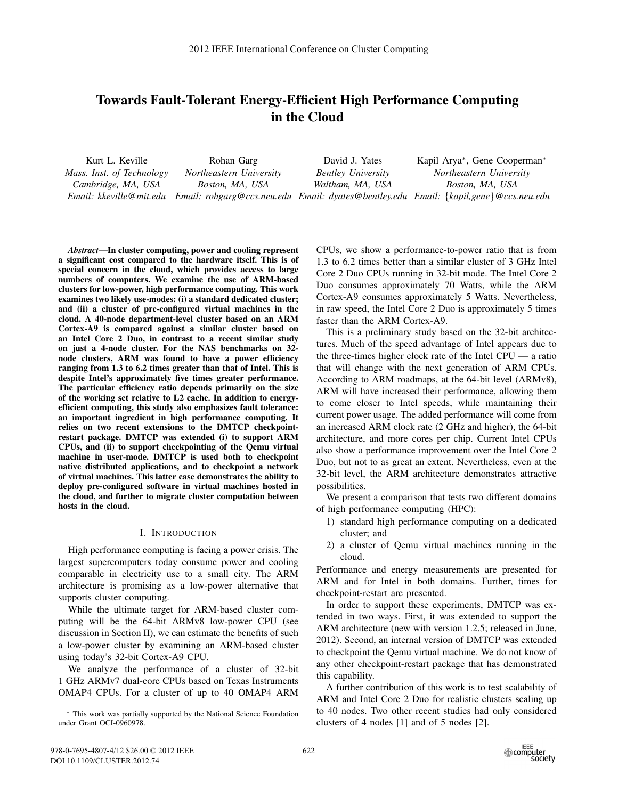# **Towards Fault-Tolerant Energy-Efficient High Performance Computing in the Cloud**

| Kurt L. Keville           | Rohan Garg              | David J. Yates            | Kapil Arya <sup>*</sup> , Gene Cooperman <sup>*</sup>                                |
|---------------------------|-------------------------|---------------------------|--------------------------------------------------------------------------------------|
| Mass. Inst. of Technology | Northeastern University | <b>Bentley University</b> | Northeastern University                                                              |
| Cambridge, MA, USA        | Boston, MA, USA         | Waltham, MA, USA          | Boston, MA, USA                                                                      |
| Email: kkeville@mit.edu   |                         |                           | Email: rohgarg@ccs.neu.edu Email: dyates@bentley.edu Email: {kapil,gene}@ccs.neu.edu |

*Abstract***—In cluster computing, power and cooling represent a significant cost compared to the hardware itself. This is of special concern in the cloud, which provides access to large numbers of computers. We examine the use of ARM-based clusters for low-power, high performance computing. This work examines two likely use-modes: (i) a standard dedicated cluster; and (ii) a cluster of pre-configured virtual machines in the cloud. A 40-node department-level cluster based on an ARM Cortex-A9 is compared against a similar cluster based on an Intel Core 2 Duo, in contrast to a recent similar study on just a 4-node cluster. For the NAS benchmarks on 32 node clusters, ARM was found to have a power efficiency ranging from 1.3 to 6.2 times greater than that of Intel. This is despite Intel's approximately five times greater performance. The particular efficiency ratio depends primarily on the size of the working set relative to L2 cache. In addition to energyefficient computing, this study also emphasizes fault tolerance: an important ingredient in high performance computing. It relies on two recent extensions to the DMTCP checkpointrestart package. DMTCP was extended (i) to support ARM CPUs, and (ii) to support checkpointing of the Qemu virtual machine in user-mode. DMTCP is used both to checkpoint native distributed applications, and to checkpoint a network of virtual machines. This latter case demonstrates the ability to deploy pre-configured software in virtual machines hosted in the cloud, and further to migrate cluster computation between hosts in the cloud.**

## I. INTRODUCTION

High performance computing is facing a power crisis. The largest supercomputers today consume power and cooling comparable in electricity use to a small city. The ARM architecture is promising as a low-power alternative that supports cluster computing.

While the ultimate target for ARM-based cluster computing will be the 64-bit ARMv8 low-power CPU (see discussion in Section II), we can estimate the benefits of such a low-power cluster by examining an ARM-based cluster using today's 32-bit Cortex-A9 CPU.

We analyze the performance of a cluster of 32-bit 1 GHz ARMv7 dual-core CPUs based on Texas Instruments OMAP4 CPUs. For a cluster of up to 40 OMAP4 ARM

CPUs, we show a performance-to-power ratio that is from 1.3 to 6.2 times better than a similar cluster of 3 GHz Intel Core 2 Duo CPUs running in 32-bit mode. The Intel Core 2 Duo consumes approximately 70 Watts, while the ARM Cortex-A9 consumes approximately 5 Watts. Nevertheless, in raw speed, the Intel Core 2 Duo is approximately 5 times faster than the ARM Cortex-A9.

This is a preliminary study based on the 32-bit architectures. Much of the speed advantage of Intel appears due to the three-times higher clock rate of the Intel CPU — a ratio that will change with the next generation of ARM CPUs. According to ARM roadmaps, at the 64-bit level (ARMv8), ARM will have increased their performance, allowing them to come closer to Intel speeds, while maintaining their current power usage. The added performance will come from an increased ARM clock rate (2 GHz and higher), the 64-bit architecture, and more cores per chip. Current Intel CPUs also show a performance improvement over the Intel Core 2 Duo, but not to as great an extent. Nevertheless, even at the 32-bit level, the ARM architecture demonstrates attractive possibilities.

We present a comparison that tests two different domains of high performance computing (HPC):

- 1) standard high performance computing on a dedicated cluster; and
- 2) a cluster of Qemu virtual machines running in the cloud.

Performance and energy measurements are presented for ARM and for Intel in both domains. Further, times for checkpoint-restart are presented.

In order to support these experiments, DMTCP was extended in two ways. First, it was extended to support the ARM architecture (new with version 1.2.5; released in June, 2012). Second, an internal version of DMTCP was extended to checkpoint the Qemu virtual machine. We do not know of any other checkpoint-restart package that has demonstrated this capability.

A further contribution of this work is to test scalability of ARM and Intel Core 2 Duo for realistic clusters scaling up to 40 nodes. Two other recent studies had only considered clusters of 4 nodes [1] and of 5 nodes [2].

<sup>∗</sup> This work was partially supported by the National Science Foundation under Grant OCI-0960978.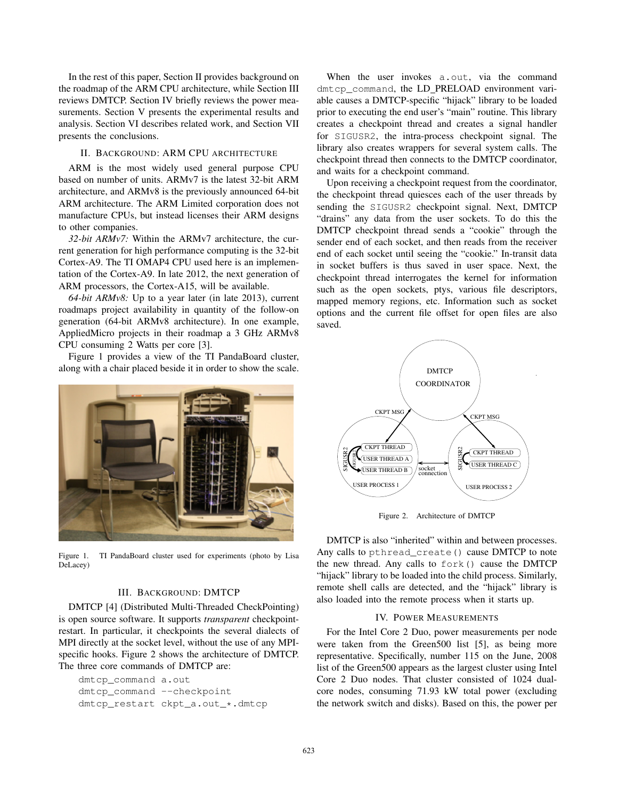In the rest of this paper, Section II provides background on the roadmap of the ARM CPU architecture, while Section III reviews DMTCP. Section IV briefly reviews the power measurements. Section V presents the experimental results and analysis. Section VI describes related work, and Section VII presents the conclusions.

# II. BACKGROUND: ARM CPU ARCHITECTURE

ARM is the most widely used general purpose CPU based on number of units. ARMv7 is the latest 32-bit ARM architecture, and ARMv8 is the previously announced 64-bit ARM architecture. The ARM Limited corporation does not manufacture CPUs, but instead licenses their ARM designs to other companies.

*32-bit ARMv7:* Within the ARMv7 architecture, the current generation for high performance computing is the 32-bit Cortex-A9. The TI OMAP4 CPU used here is an implementation of the Cortex-A9. In late 2012, the next generation of ARM processors, the Cortex-A15, will be available.

*64-bit ARMv8:* Up to a year later (in late 2013), current roadmaps project availability in quantity of the follow-on generation (64-bit ARMv8 architecture). In one example, AppliedMicro projects in their roadmap a 3 GHz ARMv8 CPU consuming 2 Watts per core [3].

Figure 1 provides a view of the TI PandaBoard cluster, along with a chair placed beside it in order to show the scale.



Figure 1. TI PandaBoard cluster used for experiments (photo by Lisa DeLacey)

## III. BACKGROUND: DMTCP

DMTCP [4] (Distributed Multi-Threaded CheckPointing) is open source software. It supports *transparent* checkpointrestart. In particular, it checkpoints the several dialects of MPI directly at the socket level, without the use of any MPIspecific hooks. Figure 2 shows the architecture of DMTCP. The three core commands of DMTCP are:

```
dmtcp_command a.out
dmtcp_command --checkpoint
dmtcp_restart ckpt_a.out_*.dmtcp
```
When the user invokes a.out, via the command dmtcp\_command, the LD\_PRELOAD environment variable causes a DMTCP-specific "hijack" library to be loaded prior to executing the end user's "main" routine. This library creates a checkpoint thread and creates a signal handler for SIGUSR2, the intra-process checkpoint signal. The library also creates wrappers for several system calls. The checkpoint thread then connects to the DMTCP coordinator, and waits for a checkpoint command.

Upon receiving a checkpoint request from the coordinator, the checkpoint thread quiesces each of the user threads by sending the SIGUSR2 checkpoint signal. Next, DMTCP "drains" any data from the user sockets. To do this the DMTCP checkpoint thread sends a "cookie" through the sender end of each socket, and then reads from the receiver end of each socket until seeing the "cookie." In-transit data in socket buffers is thus saved in user space. Next, the checkpoint thread interrogates the kernel for information such as the open sockets, ptys, various file descriptors, mapped memory regions, etc. Information such as socket options and the current file offset for open files are also saved.



Figure 2. Architecture of DMTCP

DMTCP is also "inherited" within and between processes. Any calls to pthread\_create() cause DMTCP to note the new thread. Any calls to fork() cause the DMTCP "hijack" library to be loaded into the child process. Similarly, remote shell calls are detected, and the "hijack" library is also loaded into the remote process when it starts up.

## IV. POWER MEASUREMENTS

For the Intel Core 2 Duo, power measurements per node were taken from the Green500 list [5], as being more representative. Specifically, number 115 on the June, 2008 list of the Green500 appears as the largest cluster using Intel Core 2 Duo nodes. That cluster consisted of 1024 dualcore nodes, consuming 71.93 kW total power (excluding the network switch and disks). Based on this, the power per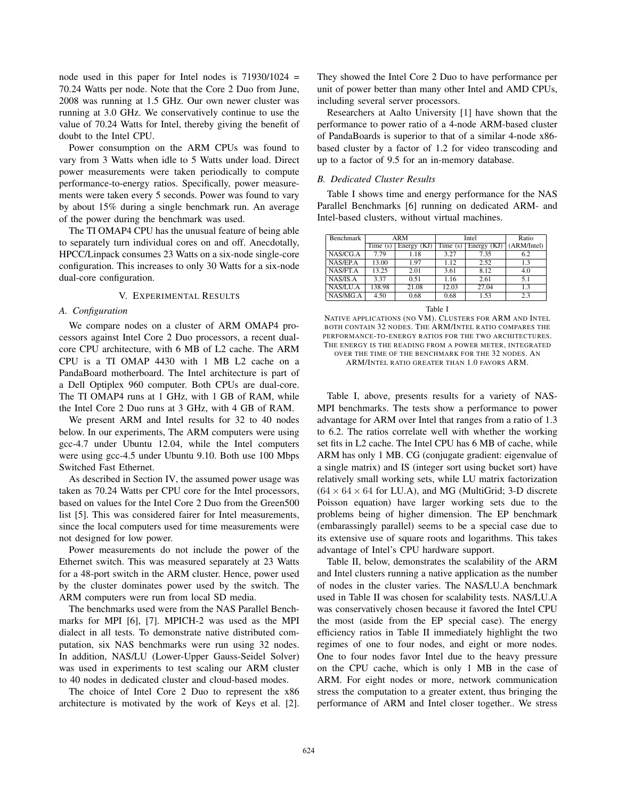node used in this paper for Intel nodes is  $71930/1024$  = 70.24 Watts per node. Note that the Core 2 Duo from June, 2008 was running at 1.5 GHz. Our own newer cluster was running at 3.0 GHz. We conservatively continue to use the value of 70.24 Watts for Intel, thereby giving the benefit of doubt to the Intel CPU.

Power consumption on the ARM CPUs was found to vary from 3 Watts when idle to 5 Watts under load. Direct power measurements were taken periodically to compute performance-to-energy ratios. Specifically, power measurements were taken every 5 seconds. Power was found to vary by about 15% during a single benchmark run. An average of the power during the benchmark was used.

The TI OMAP4 CPU has the unusual feature of being able to separately turn individual cores on and off. Anecdotally, HPCC/Linpack consumes 23 Watts on a six-node single-core configuration. This increases to only 30 Watts for a six-node dual-core configuration.

## V. EXPERIMENTAL RESULTS

#### *A. Configuration*

We compare nodes on a cluster of ARM OMAP4 processors against Intel Core 2 Duo processors, a recent dualcore CPU architecture, with 6 MB of L2 cache. The ARM CPU is a TI OMAP 4430 with 1 MB L2 cache on a PandaBoard motherboard. The Intel architecture is part of a Dell Optiplex 960 computer. Both CPUs are dual-core. The TI OMAP4 runs at 1 GHz, with 1 GB of RAM, while the Intel Core 2 Duo runs at 3 GHz, with 4 GB of RAM.

We present ARM and Intel results for 32 to 40 nodes below. In our experiments, The ARM computers were using gcc-4.7 under Ubuntu 12.04, while the Intel computers were using gcc-4.5 under Ubuntu 9.10. Both use 100 Mbps Switched Fast Ethernet.

As described in Section IV, the assumed power usage was taken as 70.24 Watts per CPU core for the Intel processors, based on values for the Intel Core 2 Duo from the Green500 list [5]. This was considered fairer for Intel measurements, since the local computers used for time measurements were not designed for low power.

Power measurements do not include the power of the Ethernet switch. This was measured separately at 23 Watts for a 48-port switch in the ARM cluster. Hence, power used by the cluster dominates power used by the switch. The ARM computers were run from local SD media.

The benchmarks used were from the NAS Parallel Benchmarks for MPI [6], [7]. MPICH-2 was used as the MPI dialect in all tests. To demonstrate native distributed computation, six NAS benchmarks were run using 32 nodes. In addition, NAS/LU (Lower-Upper Gauss-Seidel Solver) was used in experiments to test scaling our ARM cluster to 40 nodes in dedicated cluster and cloud-based modes.

The choice of Intel Core 2 Duo to represent the x86 architecture is motivated by the work of Keys et al. [2]. They showed the Intel Core 2 Duo to have performance per unit of power better than many other Intel and AMD CPUs, including several server processors.

Researchers at Aalto University [1] have shown that the performance to power ratio of a 4-node ARM-based cluster of PandaBoards is superior to that of a similar 4-node x86 based cluster by a factor of 1.2 for video transcoding and up to a factor of 9.5 for an in-memory database.

## *B. Dedicated Cluster Results*

Table I shows time and energy performance for the NAS Parallel Benchmarks [6] running on dedicated ARM- and Intel-based clusters, without virtual machines.

| Benchmark | <b>ARM</b> |             | Intel                        |                                 | Ratio       |
|-----------|------------|-------------|------------------------------|---------------------------------|-------------|
|           | Time $(s)$ | Energy (KJ) | $\overline{\text{Time}}$ (s) | $\overline{\text{Energy}}$ (KJ) | (ARM/Intel) |
| NAS/CG.A  | 7.79       | 1.18        | 3.27                         | 7.35                            | 6.2         |
| NAS/EP.A  | 13.00      | 1.97        | 1.12                         | 2.52                            | 1.3         |
| NAS/FT.A  | 13.25      | 2.01        | 3.61                         | 8.12                            | 4.0         |
| NAS/IS.A  | 3.37       | 0.51        | 1.16                         | 2.61                            | 5.1         |
| NAS/LU.A  | 138.98     | 21.08       | 12.03                        | 27.04                           | 1.3         |
| NAS/MG.A  | 4.50       | 0.68        | 0.68                         | 1.53                            | 2.3         |

Table I

NATIVE APPLICATIONS (NO VM). CLUSTERS FOR ARM AND INTEL BOTH CONTAIN 32 NODES. THE ARM/INTEL RATIO COMPARES THE PERFORMANCE-TO-ENERGY RATIOS FOR THE TWO ARCHITECTURES. THE ENERGY IS THE READING FROM A POWER METER, INTEGRATED OVER THE TIME OF THE BENCHMARK FOR THE 32 NODES. AN ARM/INTEL RATIO GREATER THAN 1.0 FAVORS ARM.

Table I, above, presents results for a variety of NAS-MPI benchmarks. The tests show a performance to power advantage for ARM over Intel that ranges from a ratio of 1.3 to 6.2. The ratios correlate well with whether the working set fits in L2 cache. The Intel CPU has 6 MB of cache, while ARM has only 1 MB. CG (conjugate gradient: eigenvalue of a single matrix) and IS (integer sort using bucket sort) have relatively small working sets, while LU matrix factorization  $(64 \times 64 \times 64$  for LU.A), and MG (MultiGrid; 3-D discrete Poisson equation) have larger working sets due to the problems being of higher dimension. The EP benchmark (embarassingly parallel) seems to be a special case due to its extensive use of square roots and logarithms. This takes advantage of Intel's CPU hardware support.

Table II, below, demonstrates the scalability of the ARM and Intel clusters running a native application as the number of nodes in the cluster varies. The NAS/LU.A benchmark used in Table II was chosen for scalability tests. NAS/LU.A was conservatively chosen because it favored the Intel CPU the most (aside from the EP special case). The energy efficiency ratios in Table II immediately highlight the two regimes of one to four nodes, and eight or more nodes. One to four nodes favor Intel due to the heavy pressure on the CPU cache, which is only 1 MB in the case of ARM. For eight nodes or more, network communication stress the computation to a greater extent, thus bringing the performance of ARM and Intel closer together.. We stress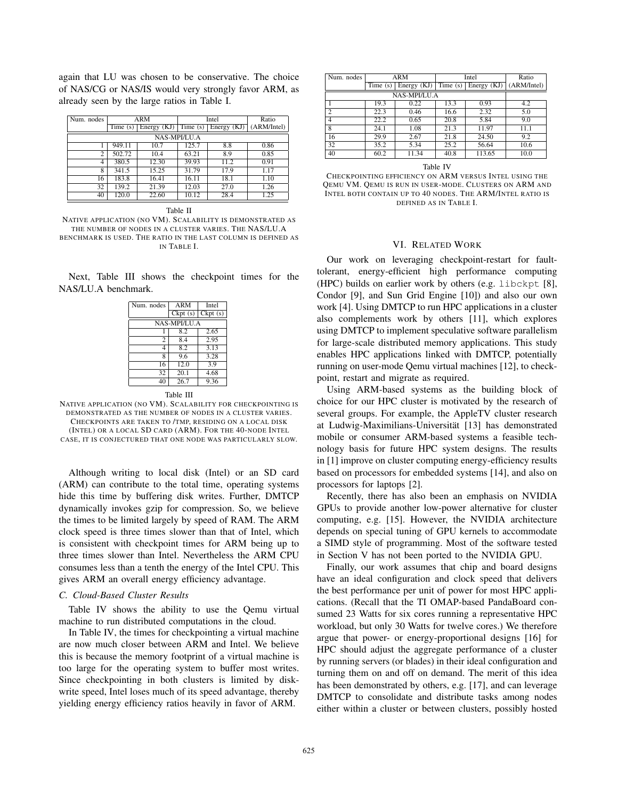again that LU was chosen to be conservative. The choice of NAS/CG or NAS/IS would very strongly favor ARM, as already seen by the large ratios in Table I.

| Num. nodes   | <b>ARM</b> |               | Intel   |               | Ratio       |  |
|--------------|------------|---------------|---------|---------------|-------------|--|
|              | Time(s)    | Energy $(KJ)$ | Time(s) | Energy $(KJ)$ | (ARM/Intel) |  |
| NAS-MPI/LU.A |            |               |         |               |             |  |
|              | 949.11     | 10.7          | 125.7   | 8.8           | 0.86        |  |
| 2            | 502.72     | 10.4          | 63.21   | 8.9           | 0.85        |  |
| 4            | 380.5      | 12.30         | 39.93   | 11.2          | 0.91        |  |
| 8            | 341.5      | 15.25         | 31.79   | 17.9          | 1.17        |  |
| 16           | 183.8      | 16.41         | 16.11   | 18.1          | 1.10        |  |
| 32           | 139.2      | 21.39         | 12.03   | 27.0          | 1.26        |  |
| 40           | 120.0      | 22.60         | 10.12   | 28.4          | 1.25        |  |

Table II

NATIVE APPLICATION (NO VM). SCALABILITY IS DEMONSTRATED AS THE NUMBER OF NODES IN A CLUSTER VARIES. THE NAS/LU.A BENCHMARK IS USED. THE RATIO IN THE LAST COLUMN IS DEFINED AS IN TABLE I.

Next, Table III shows the checkpoint times for the NAS/LU.A benchmark.

| Num. nodes | ARM          | Intel             |  |  |  |  |
|------------|--------------|-------------------|--|--|--|--|
|            | Ckpt(s)      | Ckpt(s)           |  |  |  |  |
|            | NAS-MPI/LU.A |                   |  |  |  |  |
|            | 8.2          | 2.65              |  |  |  |  |
| 2          | 8.4          | 2.95              |  |  |  |  |
| 4          | 8.2          | $\overline{3.13}$ |  |  |  |  |
| 8          | 9.6          | 3.28              |  |  |  |  |
| 16         | 12.0         | 3.9               |  |  |  |  |
| 32         | 20.1         | 4.68              |  |  |  |  |
| 40         | 26.7         | 9.36              |  |  |  |  |

Table III



Although writing to local disk (Intel) or an SD card (ARM) can contribute to the total time, operating systems hide this time by buffering disk writes. Further, DMTCP dynamically invokes gzip for compression. So, we believe the times to be limited largely by speed of RAM. The ARM clock speed is three times slower than that of Intel, which is consistent with checkpoint times for ARM being up to three times slower than Intel. Nevertheless the ARM CPU consumes less than a tenth the energy of the Intel CPU. This gives ARM an overall energy efficiency advantage.

#### *C. Cloud-Based Cluster Results*

Table IV shows the ability to use the Qemu virtual machine to run distributed computations in the cloud.

In Table IV, the times for checkpointing a virtual machine are now much closer between ARM and Intel. We believe this is because the memory footprint of a virtual machine is too large for the operating system to buffer most writes. Since checkpointing in both clusters is limited by diskwrite speed, Intel loses much of its speed advantage, thereby yielding energy efficiency ratios heavily in favor of ARM.

| Num. nodes     | ARM        |               | Intel   |                                 | Ratio       |
|----------------|------------|---------------|---------|---------------------------------|-------------|
|                | Time $(s)$ | Energy $(KJ)$ | Time(s) | $\overline{\text{Energy}}$ (KJ) | (ARM/Intel) |
| NAS-MPI/LU.A   |            |               |         |                                 |             |
|                | 19.3       | 0.22          | 13.3    | 0.93                            | 4.2         |
| $\overline{c}$ | 22.3       | 0.46          | 16.6    | 2.32                            | 5.0         |
| 4              | 22.2       | 0.65          | 20.8    | 5.84                            | 9.0         |
| 8              | 24.1       | 1.08          | 21.3    | 11.97                           | 11.1        |
| 16             | 29.9       | 2.67          | 21.8    | 24.50                           | 9.2         |
| 32             | 35.2       | 5.34          | 25.2    | 56.64                           | 10.6        |
| 40             | 60.2       | 11.34         | 40.8    | 113.65                          | 10.0        |

Table IV

CHECKPOINTING EFFICIENCY ON ARM VERSUS INTEL USING THE QEMU VM. QEMU IS RUN IN USER-MODE. CLUSTERS ON ARM AND INTEL BOTH CONTAIN UP TO 40 NODES. THE ARM/INTEL RATIO IS DEFINED AS IN TABLE I.

### VI. RELATED WORK

Our work on leveraging checkpoint-restart for faulttolerant, energy-efficient high performance computing (HPC) builds on earlier work by others (e.g. libckpt [8], Condor [9], and Sun Grid Engine [10]) and also our own work [4]. Using DMTCP to run HPC applications in a cluster also complements work by others [11], which explores using DMTCP to implement speculative software parallelism for large-scale distributed memory applications. This study enables HPC applications linked with DMTCP, potentially running on user-mode Qemu virtual machines [12], to checkpoint, restart and migrate as required.

Using ARM-based systems as the building block of choice for our HPC cluster is motivated by the research of several groups. For example, the AppleTV cluster research at Ludwig-Maximilians-Universität [13] has demonstrated mobile or consumer ARM-based systems a feasible technology basis for future HPC system designs. The results in [1] improve on cluster computing energy-efficiency results based on processors for embedded systems [14], and also on processors for laptops [2].

Recently, there has also been an emphasis on NVIDIA GPUs to provide another low-power alternative for cluster computing, e.g. [15]. However, the NVIDIA architecture depends on special tuning of GPU kernels to accommodate a SIMD style of programming. Most of the software tested in Section V has not been ported to the NVIDIA GPU.

Finally, our work assumes that chip and board designs have an ideal configuration and clock speed that delivers the best performance per unit of power for most HPC applications. (Recall that the TI OMAP-based PandaBoard consumed 23 Watts for six cores running a representative HPC workload, but only 30 Watts for twelve cores.) We therefore argue that power- or energy-proportional designs [16] for HPC should adjust the aggregate performance of a cluster by running servers (or blades) in their ideal configuration and turning them on and off on demand. The merit of this idea has been demonstrated by others, e.g. [17], and can leverage DMTCP to consolidate and distribute tasks among nodes either within a cluster or between clusters, possibly hosted